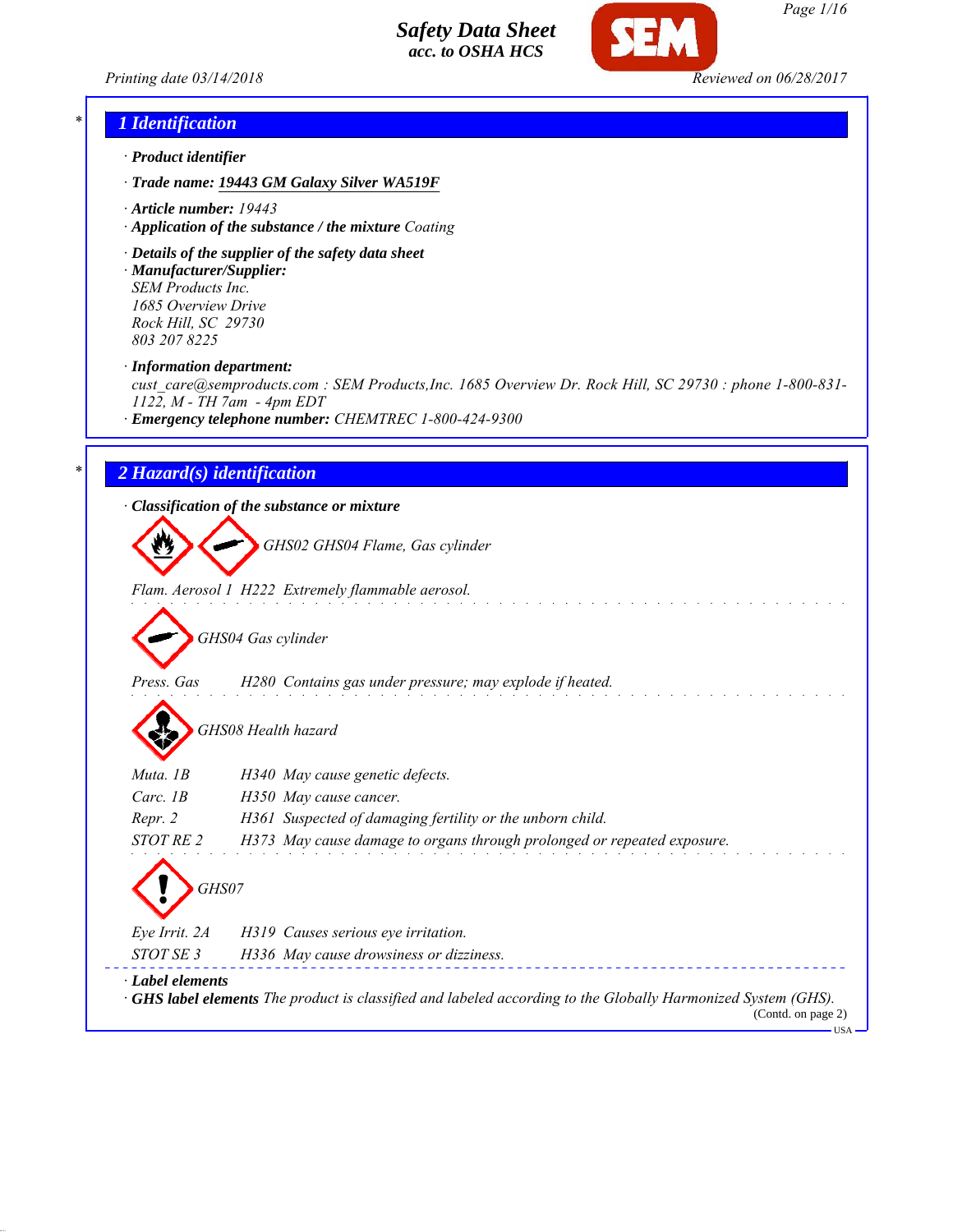*Printing date 03/14/2018 Reviewed on 06/28/2017*



*Page 1/16*

## *\* 1 Identification*

- *· Product identifier*
- *· Trade name: 19443 GM Galaxy Silver WA519F*
- *· Article number: 19443*
- *· Application of the substance / the mixture Coating*
- *· Details of the supplier of the safety data sheet · Manufacturer/Supplier:*

*SEM Products Inc. 1685 Overview Drive Rock Hill, SC 29730 803 207 8225*

*· Information department:*

*cust\_care@semproducts.com : SEM Products,Inc. 1685 Overview Dr. Rock Hill, SC 29730 : phone 1-800-831- 1122, M - TH 7am - 4pm EDT*

*· Emergency telephone number: CHEMTREC 1-800-424-9300*

## *\* 2 Hazard(s) identification*

*· Classification of the substance or mixture*

*GHS02 GHS04 Flame, Gas cylinder*

*Flam. Aerosol 1 H222 Extremely flammable aerosol.*

*GHS04 Gas cylinder*

- *Press. Gas H280 Contains gas under pressure; may explode if heated.*
	- *GHS08 Health hazard*

| Muta. 1B               | H340 May cause genetic defects.                                                                                                          |
|------------------------|------------------------------------------------------------------------------------------------------------------------------------------|
| Carc. $1B$             | H350 May cause cancer.                                                                                                                   |
| Repr. 2                | H361 Suspected of damaging fertility or the unborn child.                                                                                |
| STOT RE 2              | H373 May cause damage to organs through prolonged or repeated exposure.                                                                  |
| GHS07<br>Eye Irrit. 2A | H319 Causes serious eye irritation.                                                                                                      |
| STOT SE 3              | H336 May cause drowsiness or dizziness.                                                                                                  |
| · Label elements       | <b>GHS label elements</b> The product is classified and labeled according to the Globally Harmonized System (GHS).<br>(Contd. on page 2) |

USA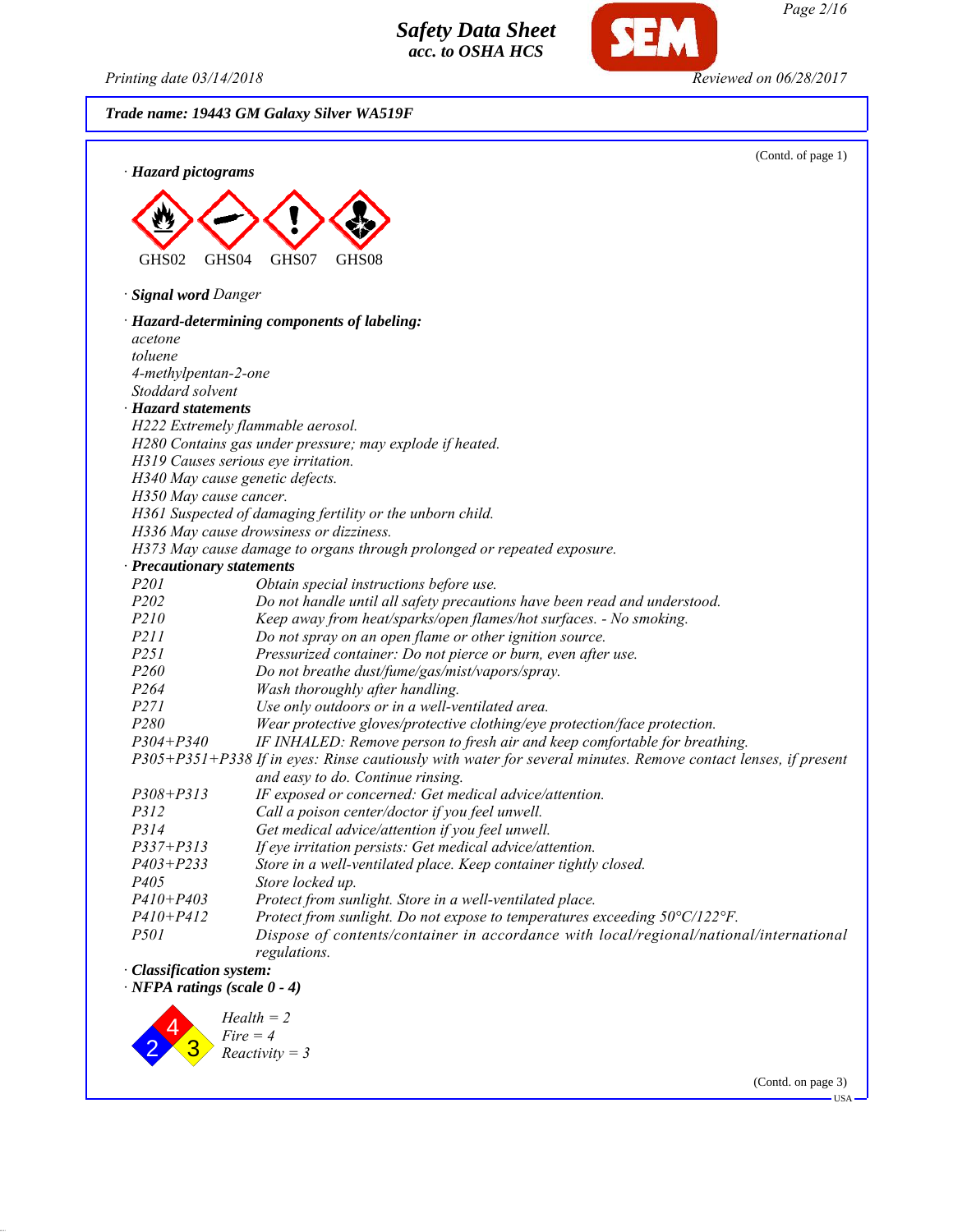2 4 3

*Fire = 4 Reactivity = 3*

*Printing date 03/14/2018 Reviewed on 06/28/2017*

*Page 2/16*

(Contd. on page 3)

**IISA** 

*Trade name: 19443 GM Galaxy Silver WA519F*

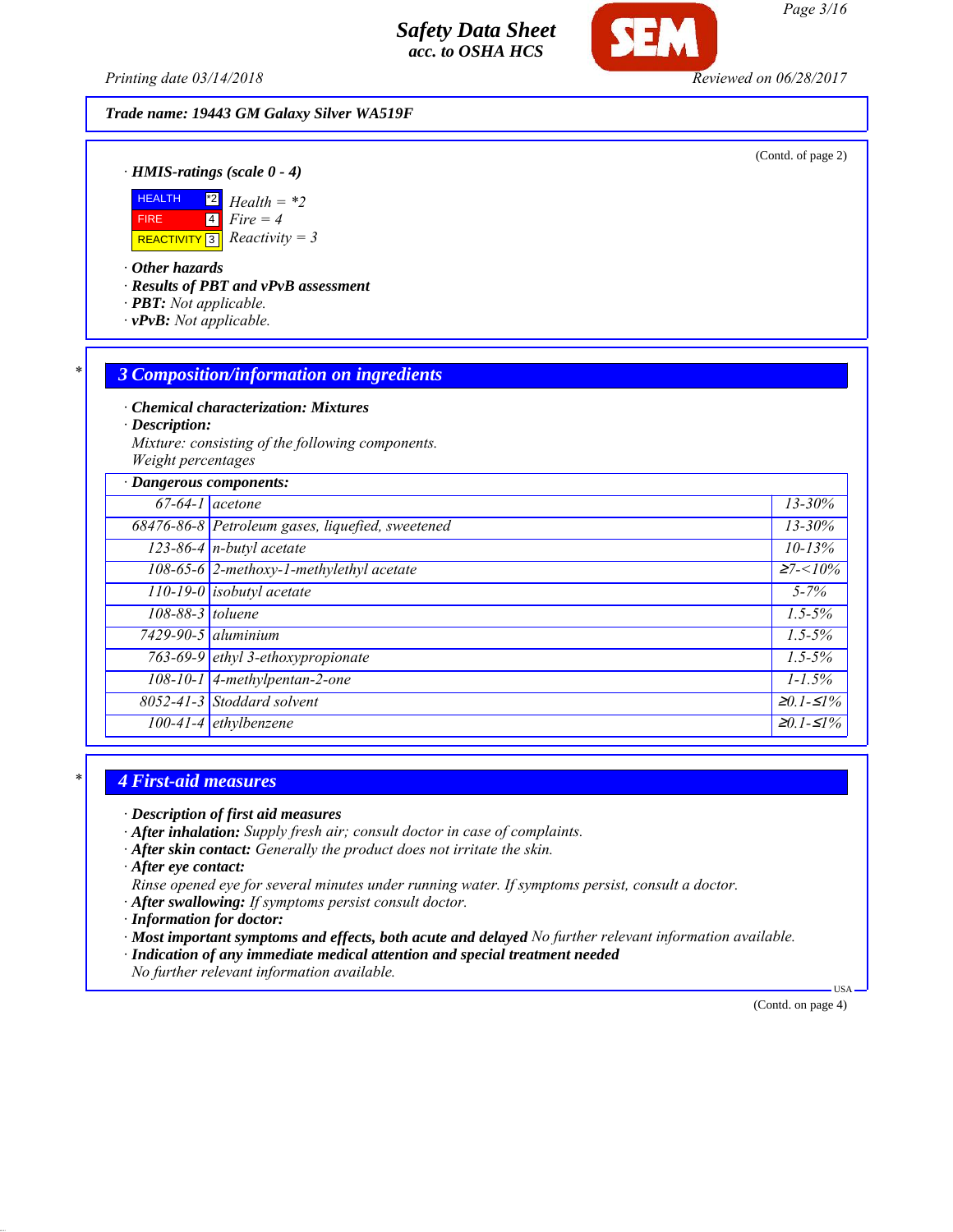*Printing date 03/14/2018 Reviewed on 06/28/2017*

#### *Trade name: 19443 GM Galaxy Silver WA519F*

(Contd. of page 2)

*· HMIS-ratings (scale 0 - 4)*



*· Other hazards*

*· Results of PBT and vPvB assessment*

- *· PBT: Not applicable.*
- *· vPvB: Not applicable.*

#### *\* 3 Composition/information on ingredients*

*· Chemical characterization: Mixtures*

*· Description:*

*Mixture: consisting of the following components. Weight percentages*

| · Dangerous components: |                                                  |                   |
|-------------------------|--------------------------------------------------|-------------------|
|                         | $67-64-1$ acetone                                | $13 - 30\%$       |
|                         | 68476-86-8 Petroleum gases, liquefied, sweetened | $13 - 30\%$       |
|                         | $123-86-4$ n-butyl acetate                       | $10 - 13%$        |
|                         | 108-65-6 2-methoxy-1-methylethyl acetate         | $\geq 7 < 10\%$   |
|                         | $\overline{110-19-0}$ isobutyl acetate           | $5 - 7\%$         |
| 108-88-3 toluene        |                                                  | $1.5 - 5\%$       |
|                         | $7429-90-5$ aluminium                            | $1.5 - 5\%$       |
|                         | 763-69-9 ethyl 3-ethoxypropionate                | $1.5 - 5\%$       |
|                         | 108-10-1 4-methylpentan-2-one                    | $1 - 1.5\%$       |
|                         | 8052-41-3 Stoddard solvent                       | $\geq 0.1 - 51\%$ |
|                         | $100-41-4$ ethylbenzene                          | $\geq 0.1 - 51\%$ |

#### *\* 4 First-aid measures*

*· Description of first aid measures*

- *· After inhalation: Supply fresh air; consult doctor in case of complaints.*
- *· After skin contact: Generally the product does not irritate the skin.*

*· After eye contact:*

- *Rinse opened eye for several minutes under running water. If symptoms persist, consult a doctor.*
- *· After swallowing: If symptoms persist consult doctor.*
- *· Information for doctor:*
- *· Most important symptoms and effects, both acute and delayed No further relevant information available.*
- *· Indication of any immediate medical attention and special treatment needed*
- *No further relevant information available.*

(Contd. on page 4)

USA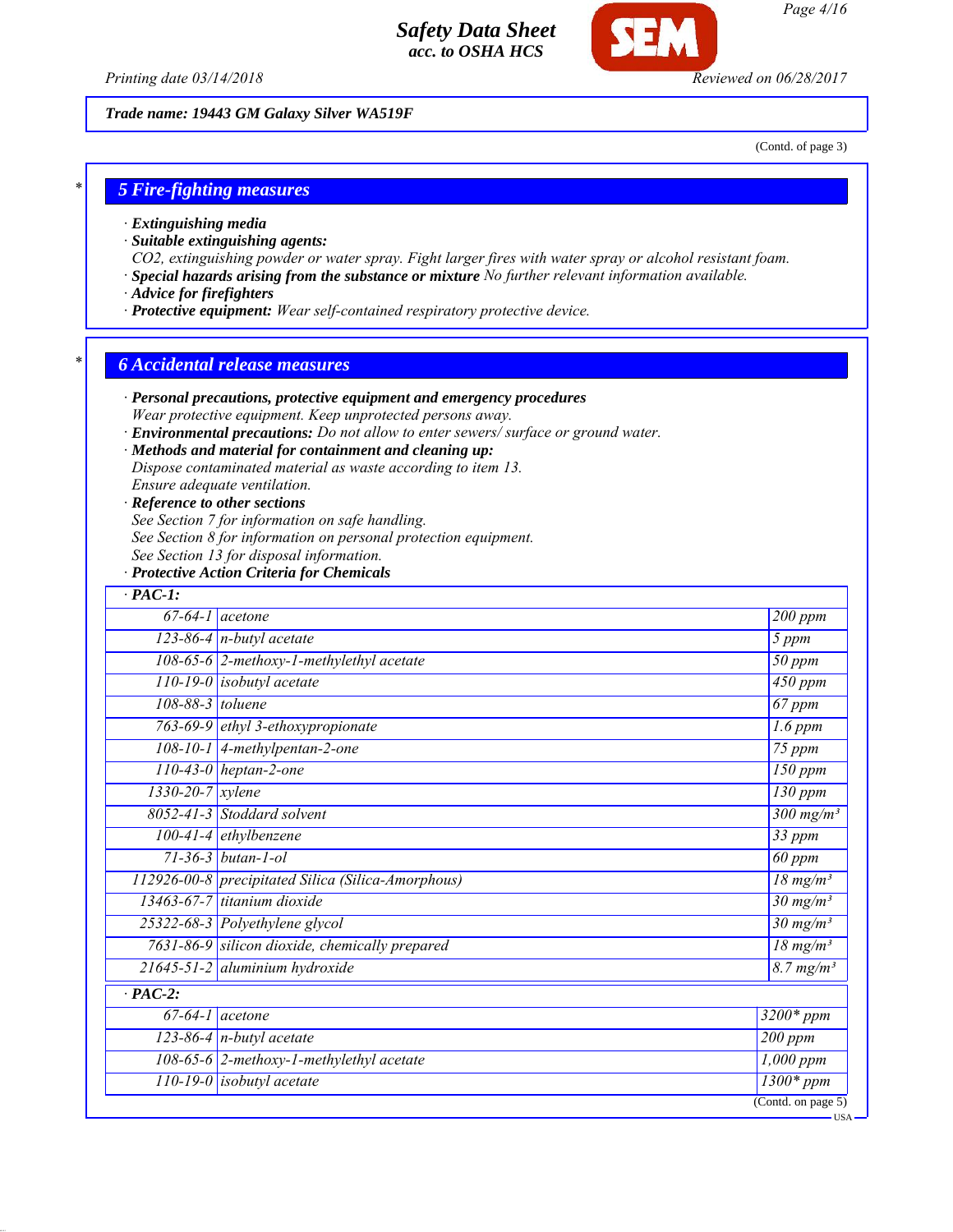

*Printing date 03/14/2018 Reviewed on 06/28/2017*

### *Trade name: 19443 GM Galaxy Silver WA519F*

(Contd. of page 3)

USA

## *\* 5 Fire-fighting measures*

- *· Extinguishing media*
- *· Suitable extinguishing agents:*
- *CO2, extinguishing powder or water spray. Fight larger fires with water spray or alcohol resistant foam.*
- *· Special hazards arising from the substance or mixture No further relevant information available.*
- *· Advice for firefighters*
- *· Protective equipment: Wear self-contained respiratory protective device.*

## *\* 6 Accidental release measures*

- *· Personal precautions, protective equipment and emergency procedures Wear protective equipment. Keep unprotected persons away.*
- *· Environmental precautions: Do not allow to enter sewers/ surface or ground water.*

#### *· Methods and material for containment and cleaning up:*

*Dispose contaminated material as waste according to item 13.*

*Ensure adequate ventilation.*

#### *· Reference to other sections*

*See Section 7 for information on safe handling.*

- *See Section 8 for information on personal protection equipment.*
- *See Section 13 for disposal information.*

#### *· Protective Action Criteria for Chemicals*

| $\cdot$ PAC-1:                                     |                                 |
|----------------------------------------------------|---------------------------------|
| $67-64-1$ acetone                                  | 200 ppm                         |
| $123-86-4$ n-butyl acetate                         | 5 ppm                           |
| 108-65-6 2-methoxy-1-methylethyl acetate           | $50$ ppm                        |
| 110-19-0 isobutyl acetate                          | 450 ppm                         |
| 108-88-3 toluene                                   | 67 ppm                          |
| 763-69-9 ethyl 3-ethoxypropionate                  | $1.6$ ppm                       |
| 108-10-1 4-methylpentan-2-one                      | $\overline{75}$ ppm             |
| $\overline{110}$ -43-0 heptan-2-one                | $150$ ppm                       |
| $1330 - 20 - 7$ xylene                             | $130$ ppm                       |
| 8052-41-3 Stoddard solvent                         | $\frac{300 \text{ mg}}{m^3}$    |
| $100-41-4$ ethylbenzene                            | 33 ppm                          |
| $71 - 36 - 3$ butan-1-ol                           | $\overline{60}$ ppm             |
| 112926-00-8 precipitated Silica (Silica-Amorphous) | $18 \text{ mg/m}^3$             |
| $13463-67-7$ titanium dioxide                      | $30 \frac{\text{mg}}{\text{m}}$ |
| 25322-68-3 Polyethylene glycol                     | $30 \text{ mg/m}^3$             |
| 7631-86-9 silicon dioxide, chemically prepared     | $18 \text{ mg/m}^3$             |
| $21645 - 51 - 2$ aluminium hydroxide               | $8.7 \frac{mg}{m^3}$            |
| $\overline{PAC-2:}$                                |                                 |
| $67-64-1$ acetone                                  | $3200*$ ppm                     |
| $123-86-4$ n-butyl acetate                         | 200 ppm                         |
| 108-65-6 2-methoxy-1-methylethyl acetate           | $1,000$ ppm                     |
| $110-19-0$ isobutyl acetate                        | $1300*$ ppm                     |
|                                                    | (Cond. on page 5)               |

*Page 4/16*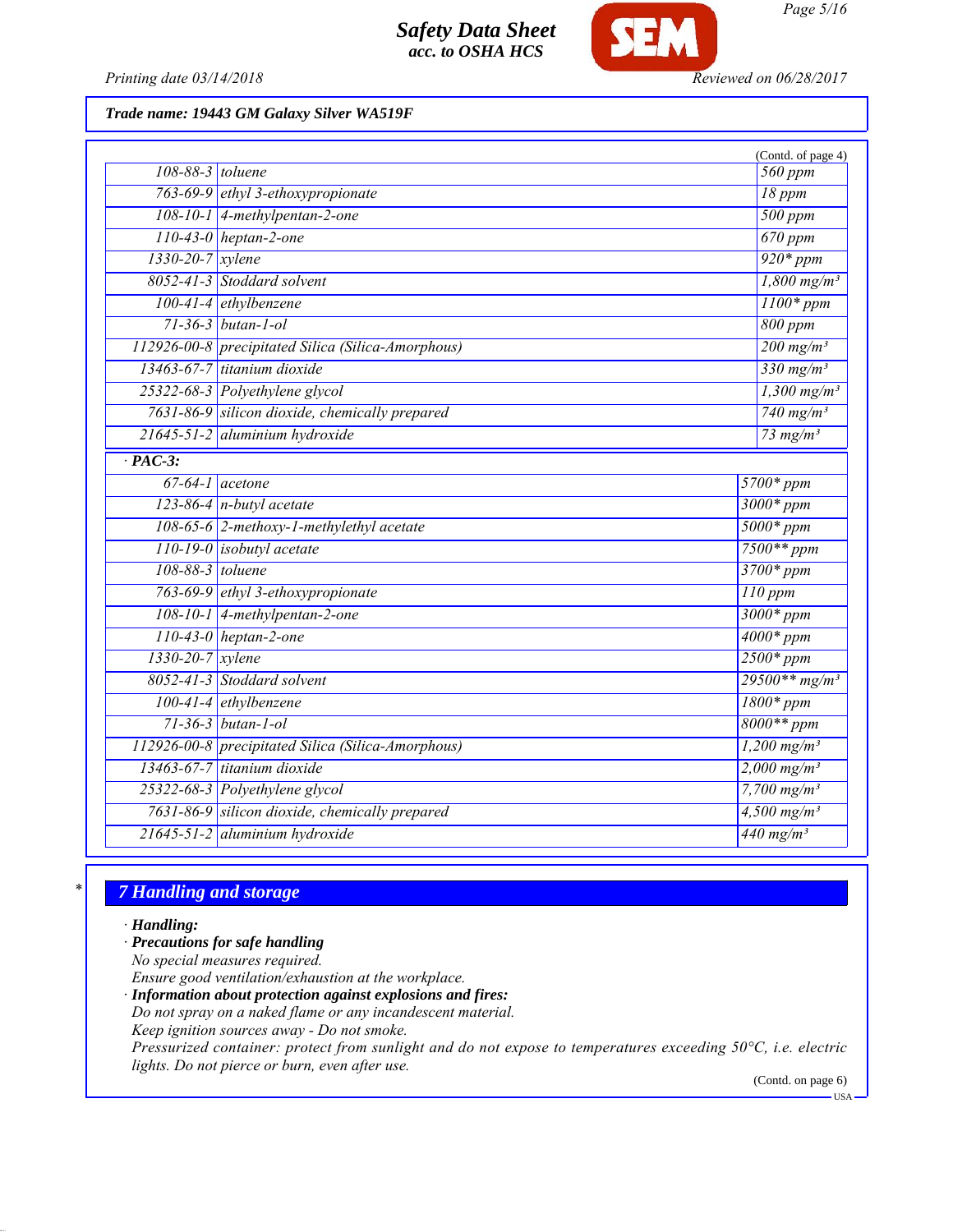

*Printing date 03/14/2018 Reviewed on 06/28/2017*

*Trade name: 19443 GM Galaxy Silver WA519F*

|                        |                                                    | (Contd. of page 4)             |
|------------------------|----------------------------------------------------|--------------------------------|
| 108-88-3 toluene       |                                                    | 560 ppm<br>$18$ ppm            |
|                        | 763-69-9 ethyl 3-ethoxypropionate                  |                                |
|                        | 108-10-1 4-methylpentan-2-one                      |                                |
|                        | $110-43-0$ heptan-2-one                            | $\overline{670}$ ppm           |
| 1330-20-7 xylene       |                                                    | $920*ppm$                      |
|                        | 8052-41-3 Stoddard solvent                         | $1,800$ mg/m <sup>3</sup>      |
|                        | $100-41-4$ ethylbenzene                            | $1100*ppm$                     |
|                        | $71-36-3$ butan-1-ol                               | 800 ppm                        |
|                        | 112926-00-8 precipitated Silica (Silica-Amorphous) | $200$ mg/m <sup>3</sup>        |
|                        | 13463-67-7 titanium dioxide                        | 330 mg/m <sup>3</sup>          |
|                        | 25322-68-3 Polyethylene glycol                     | $1,300$ mg/m <sup>3</sup>      |
|                        | 7631-86-9 silicon dioxide, chemically prepared     | $740$ mg/m <sup>3</sup>        |
|                        | 21645-51-2 aluminium hydroxide                     | 73 mg/ $m^3$                   |
| $\overline{PAC-3}$ :   |                                                    |                                |
|                        | $67-64-1$ acetone                                  | $5700*ppm$                     |
|                        | $123-86-4$ n-butyl acetate                         | $3000*ppm$                     |
|                        | 108-65-6 2-methoxy-1-methylethyl acetate           | $5000*ppm$                     |
|                        | $110-19-0$ isobutyl acetate                        | $7500**$ ppm                   |
| 108-88-3 toluene       |                                                    | $3700*ppm$                     |
|                        | 763-69-9 ethyl 3-ethoxypropionate                  | $110$ ppm                      |
|                        | 108-10-1 4-methylpentan-2-one                      | $3000*ppm$                     |
|                        | $110-43-0$ heptan-2-one                            | $4000*ppm$                     |
| $1330 - 20 - 7$ xylene |                                                    | $2500*ppm$                     |
|                        | 8052-41-3 Stoddard solvent                         | $29500**mg/m^3$                |
|                        | $100-41-4$ ethylbenzene                            | $1800*ppm$                     |
|                        | 71-36-3 butan-1-ol                                 | $8000**$ ppm                   |
|                        | 112926-00-8 precipitated Silica (Silica-Amorphous) | $1,200$ mg/m <sup>3</sup>      |
|                        | 13463-67-7 titanium dioxide                        | $2,000 \text{ mg/m}^3$         |
|                        | 25322-68-3 Polyethylene glycol                     | $7,700$ mg/m <sup>3</sup>      |
|                        | 7631-86-9 silicon dioxide, chemically prepared     | $4,500$ mg/m <sup>3</sup>      |
|                        | 21645-51-2 aluminium hydroxide                     | $\frac{440 \text{ mg/m}^3}{ }$ |

## *\* 7 Handling and storage*

*· Handling:*

## *· Precautions for safe handling*

*No special measures required.*

*Ensure good ventilation/exhaustion at the workplace.*

*· Information about protection against explosions and fires:*

*Do not spray on a naked flame or any incandescent material.*

*Keep ignition sources away - Do not smoke.*

*Pressurized container: protect from sunlight and do not expose to temperatures exceeding 50°C, i.e. electric lights. Do not pierce or burn, even after use.*

(Contd. on page 6)

USA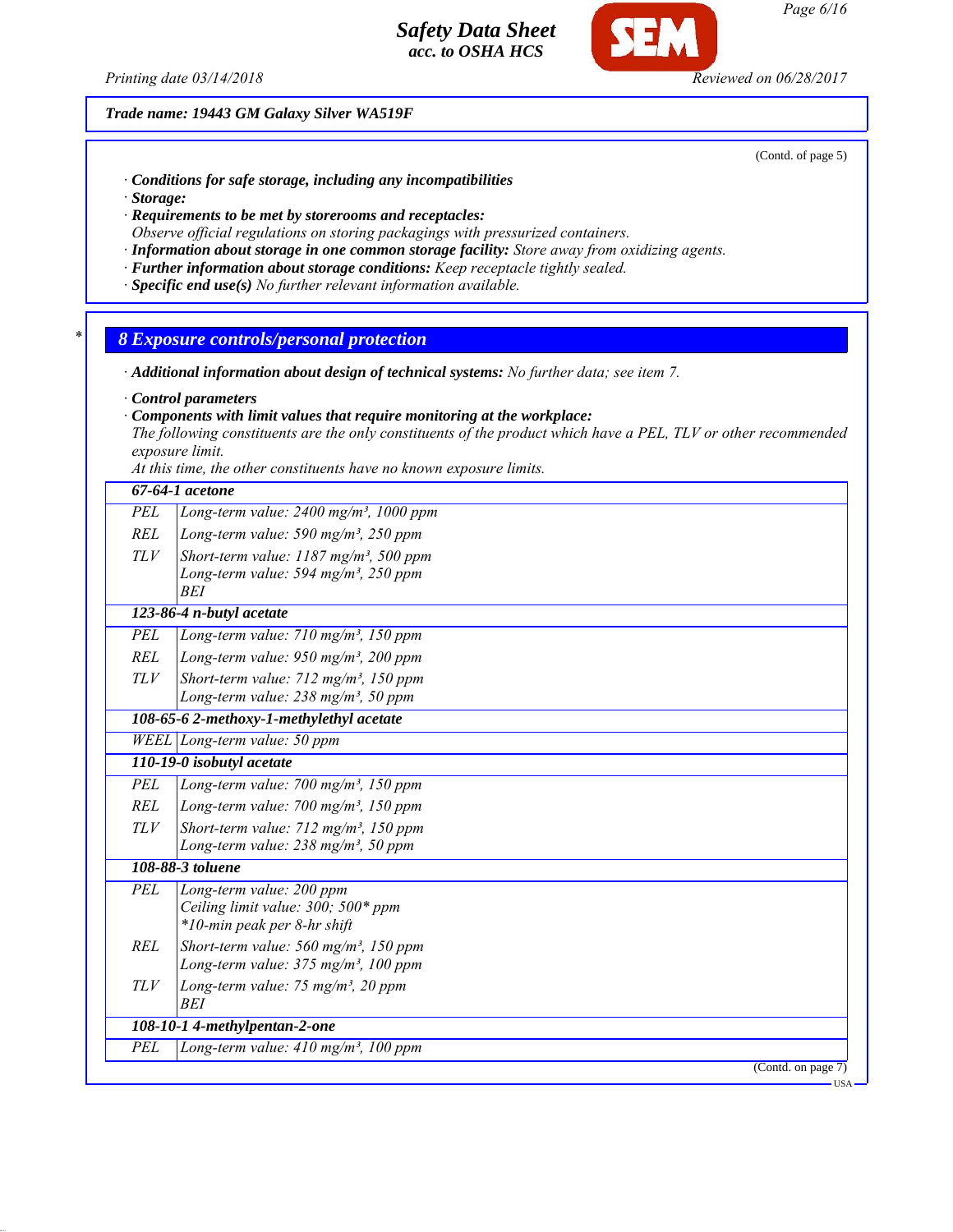*Printing date 03/14/2018 Reviewed on 06/28/2017*

*Trade name: 19443 GM Galaxy Silver WA519F*

(Contd. of page 5)

- *· Conditions for safe storage, including any incompatibilities*
- *· Storage:*
- *· Requirements to be met by storerooms and receptacles:*
- *Observe official regulations on storing packagings with pressurized containers.*
- *· Information about storage in one common storage facility: Store away from oxidizing agents.*
- *· Further information about storage conditions: Keep receptacle tightly sealed.*
- *· Specific end use(s) No further relevant information available.*
- *\* 8 Exposure controls/personal protection*
- *· Additional information about design of technical systems: No further data; see item 7.*
- *· Control parameters*
- *· Components with limit values that require monitoring at the workplace:*

*The following constituents are the only constituents of the product which have a PEL, TLV or other recommended exposure limit.*

*At this time, the other constituents have no known exposure limits.*

|            | 67-64-1 acetone                                                                                                        |
|------------|------------------------------------------------------------------------------------------------------------------------|
| PEL        | Long-term value: $2400$ mg/m <sup>3</sup> , 1000 ppm                                                                   |
| <b>REL</b> | Long-term value: 590 mg/m <sup>3</sup> , 250 ppm                                                                       |
| <b>TLV</b> | Short-term value: $1187$ mg/m <sup>3</sup> , 500 ppm<br>Long-term value: 594 mg/m <sup>3</sup> , 250 ppm<br><b>BEI</b> |
|            | 123-86-4 n-butyl acetate                                                                                               |
| <b>PEL</b> | Long-term value: $710$ mg/m <sup>3</sup> , $150$ ppm                                                                   |
| REL        | Long-term value: $950$ mg/m <sup>3</sup> , 200 ppm                                                                     |
| TLV        | Short-term value: 712 mg/m <sup>3</sup> , 150 ppm<br>Long-term value: $238$ mg/m <sup>3</sup> , 50 ppm                 |
|            | 108-65-6 2-methoxy-1-methylethyl acetate                                                                               |
|            | $WELL$ Long-term value: 50 ppm                                                                                         |
|            | 110-19-0 isobutyl acetate                                                                                              |
| PEL        | Long-term value: $700$ mg/m <sup>3</sup> , 150 ppm                                                                     |
| <b>REL</b> | Long-term value: $700$ mg/m <sup>3</sup> , 150 ppm                                                                     |
| <b>TLV</b> | Short-term value: $712$ mg/m <sup>3</sup> , 150 ppm<br>Long-term value: $238$ mg/m <sup>3</sup> , 50 ppm               |
|            | 108-88-3 toluene                                                                                                       |
| PEL        | Long-term value: 200 ppm<br>Ceiling limit value: 300; 500* ppm<br>*10-min peak per 8-hr shift                          |
| REL        | Short-term value: 560 mg/m <sup>3</sup> , 150 ppm<br>Long-term value: $375$ mg/m <sup>3</sup> , 100 ppm                |
| TLV        | Long-term value: 75 mg/m <sup>3</sup> , 20 ppm<br>BEI                                                                  |
|            | 108-10-1 4-methylpentan-2-one                                                                                          |
| PEL        | Long-term value: 410 mg/m <sup>3</sup> , 100 ppm                                                                       |
|            | (Cond. on page 7)                                                                                                      |
|            | USA-                                                                                                                   |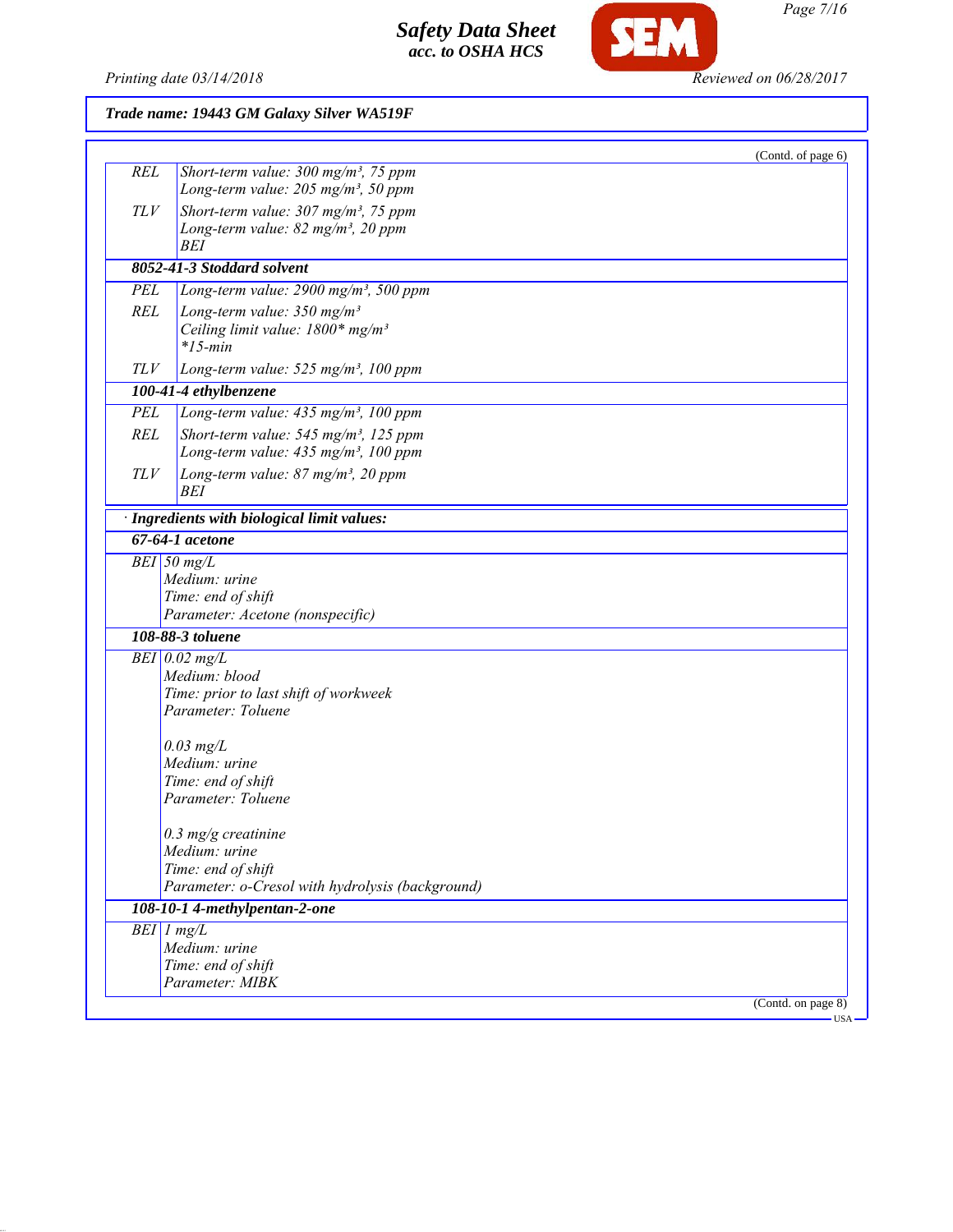

SEM

|            | Trade name: 19443 GM Galaxy Silver WA519F                                                                                       |                               |  |
|------------|---------------------------------------------------------------------------------------------------------------------------------|-------------------------------|--|
|            |                                                                                                                                 | (Contd. of page 6)            |  |
| <b>REL</b> | Short-term value: $300$ mg/m <sup>3</sup> , 75 ppm<br>Long-term value: $205$ mg/m <sup>3</sup> , 50 ppm                         |                               |  |
| TLV        | Short-term value: $307 \text{ mg/m}^3$ , 75 ppm<br>Long-term value: 82 mg/m <sup>3</sup> , 20 ppm<br>BEI                        |                               |  |
|            | 8052-41-3 Stoddard solvent                                                                                                      |                               |  |
| PEL        | Long-term value: $2900$ mg/m <sup>3</sup> , 500 ppm                                                                             |                               |  |
| <b>REL</b> | Long-term value: $350$ mg/m <sup>3</sup><br>Ceiling limit value: 1800* mg/m <sup>3</sup><br>$*15$ -min                          |                               |  |
| TLV        | Long-term value: $525$ mg/m <sup>3</sup> , 100 ppm                                                                              |                               |  |
|            | 100-41-4 ethylbenzene                                                                                                           |                               |  |
| <b>PEL</b> | Long-term value: 435 mg/m <sup>3</sup> , 100 ppm                                                                                |                               |  |
| <b>REL</b> | Short-term value: 545 mg/m <sup>3</sup> , 125 ppm<br>Long-term value: 435 mg/m <sup>3</sup> , 100 ppm                           |                               |  |
| TLV        | Long-term value: 87 mg/m <sup>3</sup> , 20 ppm<br>BEI                                                                           |                               |  |
|            | · Ingredients with biological limit values:                                                                                     |                               |  |
|            | $67 - 64 - 1$ acetone                                                                                                           |                               |  |
|            | $BEI$ 50 mg/L<br>Medium: urine<br>Time: end of shift<br>Parameter: Acetone (nonspecific)                                        |                               |  |
|            | 108-88-3 toluene                                                                                                                |                               |  |
|            | $BEI$ 0.02 mg/L<br>Medium: blood<br>Time: prior to last shift of workweek<br>Parameter: Toluene<br>$0.03$ mg/L<br>Medium: urine |                               |  |
|            | Time: end of shift<br>Parameter: Toluene                                                                                        |                               |  |
|            | $0.3$ mg/g creatinine<br>Medium: urine<br>Time: end of shift<br>Parameter: o-Cresol with hydrolysis (background)                |                               |  |
|            | 108-10-1 4-methylpentan-2-one                                                                                                   |                               |  |
|            | $BEI$ 1 mg/L<br>Medium: urine<br>Time: end of shift<br>Parameter: MIBK                                                          |                               |  |
|            |                                                                                                                                 | (Contd. on page 8)<br>$USA -$ |  |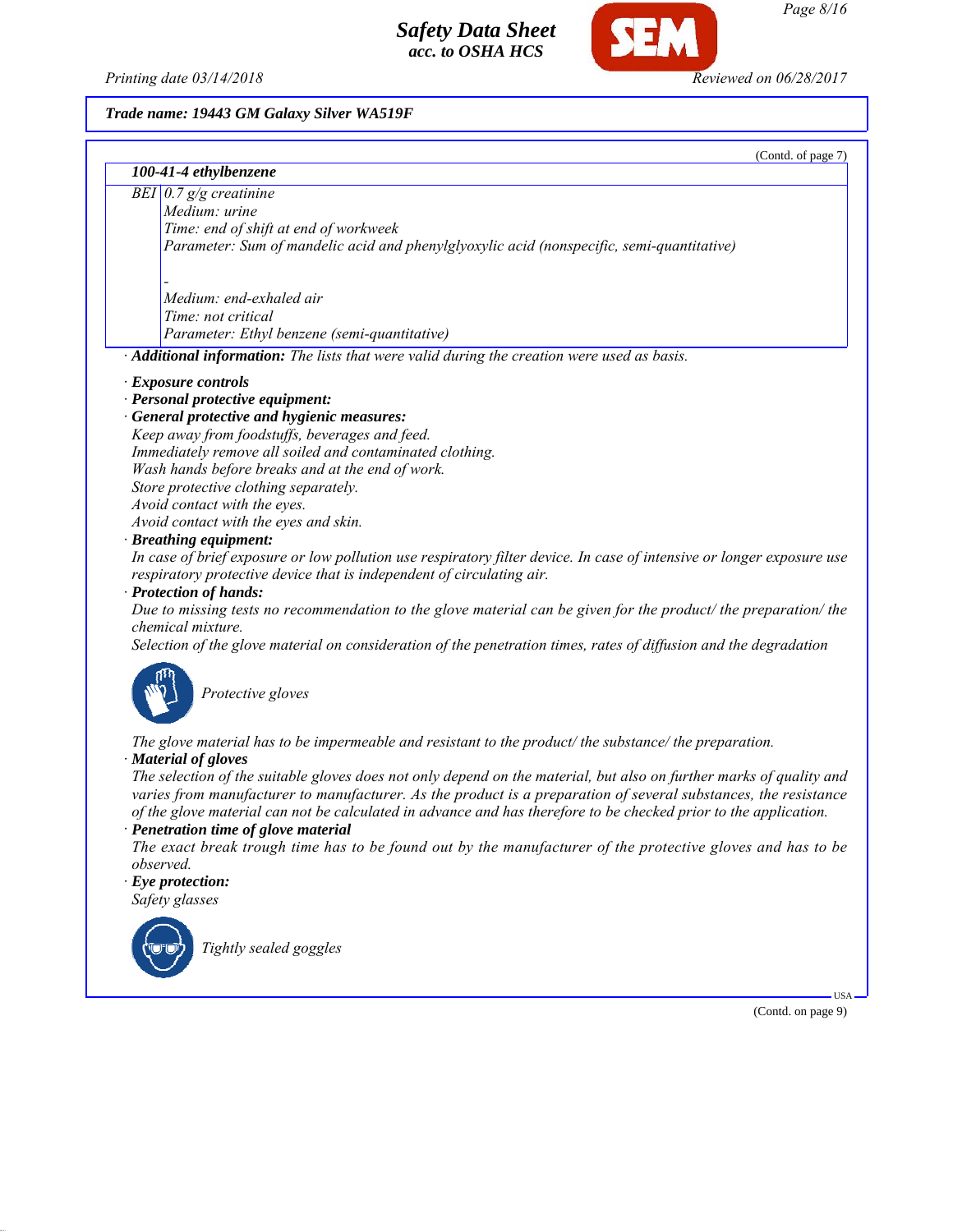*Printing date 03/14/2018 Reviewed on 06/28/2017*

**SEM** 

## *Trade name: 19443 GM Galaxy Silver WA519F*

| 100-41-4 ethylbenzene                                                                                                                                                                                                                                                                                                                                      |  |  |
|------------------------------------------------------------------------------------------------------------------------------------------------------------------------------------------------------------------------------------------------------------------------------------------------------------------------------------------------------------|--|--|
| BEI $0.7$ g/g creatinine                                                                                                                                                                                                                                                                                                                                   |  |  |
| Medium: urine                                                                                                                                                                                                                                                                                                                                              |  |  |
| Time: end of shift at end of workweek                                                                                                                                                                                                                                                                                                                      |  |  |
| Parameter: Sum of mandelic acid and phenylglyoxylic acid (nonspecific, semi-quantitative)                                                                                                                                                                                                                                                                  |  |  |
| Medium: end-exhaled air                                                                                                                                                                                                                                                                                                                                    |  |  |
| Time: not critical                                                                                                                                                                                                                                                                                                                                         |  |  |
| Parameter: Ethyl benzene (semi-quantitative)                                                                                                                                                                                                                                                                                                               |  |  |
| · Additional information: The lists that were valid during the creation were used as basis.                                                                                                                                                                                                                                                                |  |  |
| · Exposure controls                                                                                                                                                                                                                                                                                                                                        |  |  |
| · Personal protective equipment:                                                                                                                                                                                                                                                                                                                           |  |  |
| · General protective and hygienic measures:                                                                                                                                                                                                                                                                                                                |  |  |
| Keep away from foodstuffs, beverages and feed.                                                                                                                                                                                                                                                                                                             |  |  |
| Immediately remove all soiled and contaminated clothing.                                                                                                                                                                                                                                                                                                   |  |  |
| Wash hands before breaks and at the end of work.                                                                                                                                                                                                                                                                                                           |  |  |
| Store protective clothing separately.                                                                                                                                                                                                                                                                                                                      |  |  |
| Avoid contact with the eyes.                                                                                                                                                                                                                                                                                                                               |  |  |
| Avoid contact with the eyes and skin.                                                                                                                                                                                                                                                                                                                      |  |  |
| · Breathing equipment:                                                                                                                                                                                                                                                                                                                                     |  |  |
| In case of brief exposure or low pollution use respiratory filter device. In case of intensive or longer exposure use<br>respiratory protective device that is independent of circulating air.                                                                                                                                                             |  |  |
| · Protection of hands:                                                                                                                                                                                                                                                                                                                                     |  |  |
| Due to missing tests no recommendation to the glove material can be given for the product/ the preparation/ the<br>chemical mixture.                                                                                                                                                                                                                       |  |  |
| Selection of the glove material on consideration of the penetration times, rates of diffusion and the degradation                                                                                                                                                                                                                                          |  |  |
| Protective gloves                                                                                                                                                                                                                                                                                                                                          |  |  |
| The glove material has to be impermeable and resistant to the product/the substance/the preparation.                                                                                                                                                                                                                                                       |  |  |
| · Material of gloves                                                                                                                                                                                                                                                                                                                                       |  |  |
| The selection of the suitable gloves does not only depend on the material, but also on further marks of quality and<br>varies from manufacturer to manufacturer. As the product is a preparation of several substances, the resistance<br>of the glove material can not be calculated in advance and has therefore to be checked prior to the application. |  |  |
| · Penetration time of glove material                                                                                                                                                                                                                                                                                                                       |  |  |
| The exact break trough time has to be found out by the manufacturer of the protective gloves and has to be<br>observed.                                                                                                                                                                                                                                    |  |  |

*· Eye protection: Safety glasses*



*Tightly sealed goggles*

(Contd. on page 9)

USA

(Contd. of page 7)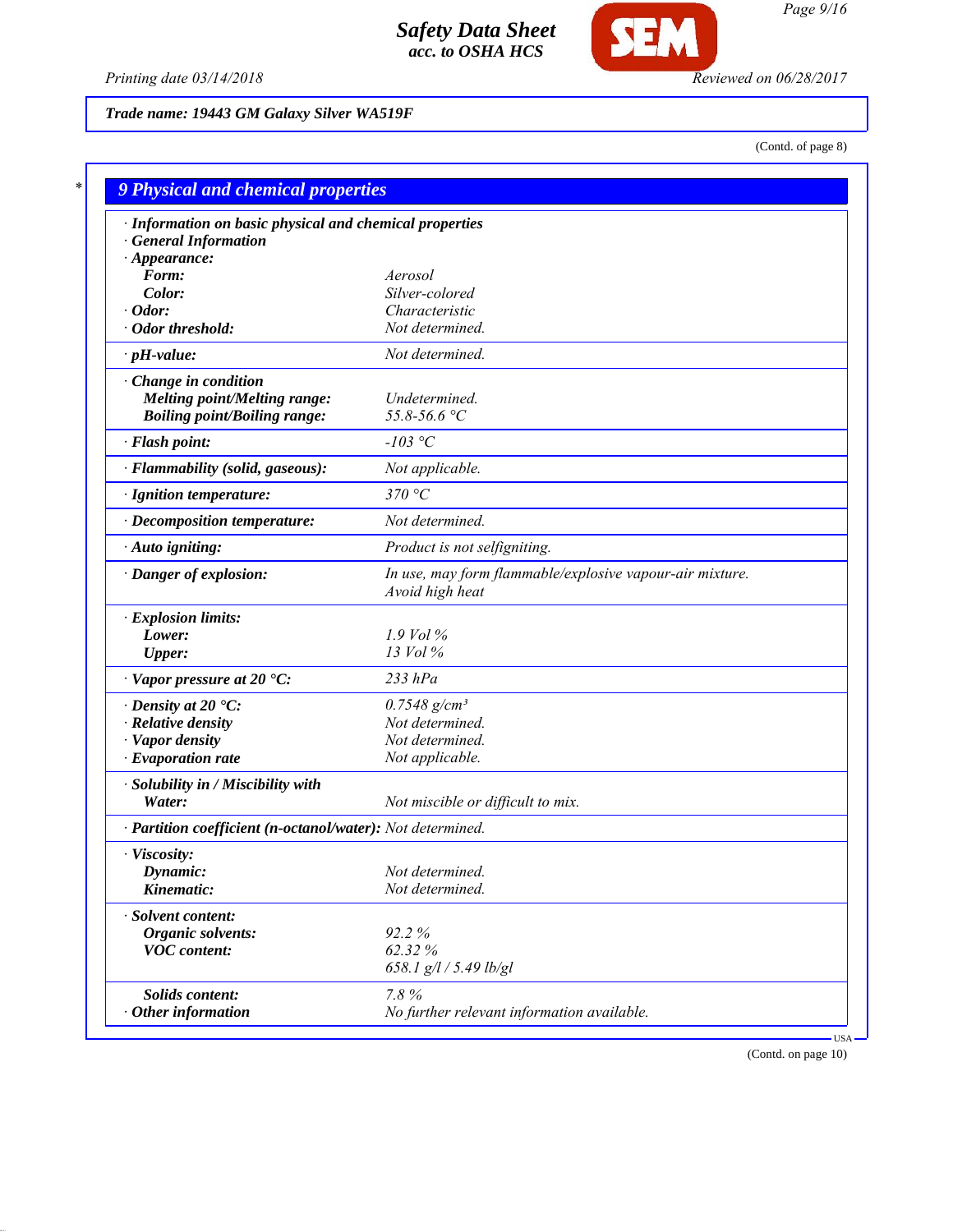

*Printing date 03/14/2018 Reviewed on 06/28/2017*

*Trade name: 19443 GM Galaxy Silver WA519F*

(Contd. of page 8)

| · Information on basic physical and chemical properties    |                                                                             |
|------------------------------------------------------------|-----------------------------------------------------------------------------|
| <b>General Information</b>                                 |                                                                             |
| $\cdot$ Appearance:                                        |                                                                             |
| Form:                                                      | Aerosol                                                                     |
| Color:                                                     | Silver-colored                                                              |
| Odor:                                                      | Characteristic                                                              |
| · Odor threshold:                                          | Not determined.                                                             |
| $\cdot$ pH-value:                                          | Not determined.                                                             |
| Change in condition                                        |                                                                             |
| <b>Melting point/Melting range:</b>                        | Undetermined.                                                               |
| <b>Boiling point/Boiling range:</b>                        | 55.8-56.6 °C                                                                |
| · Flash point:                                             | $-103$ °C                                                                   |
| · Flammability (solid, gaseous):                           | Not applicable.                                                             |
| · Ignition temperature:                                    | 370 °C                                                                      |
| · Decomposition temperature:                               | Not determined.                                                             |
| · Auto igniting:                                           | Product is not selfigniting.                                                |
| · Danger of explosion:                                     | In use, may form flammable/explosive vapour-air mixture.<br>Avoid high heat |
| · Explosion limits:                                        |                                                                             |
| Lower:                                                     | $1.9$ Vol $\%$                                                              |
| <b>Upper:</b>                                              | 13 Vol %                                                                    |
| $\cdot$ Vapor pressure at 20 $\textdegree$ C:              | $233$ $hPa$                                                                 |
| $\cdot$ Density at 20 $\cdot$ C:                           | $0.7548$ g/cm <sup>3</sup>                                                  |
| · Relative density                                         | Not determined.                                                             |
| · Vapor density                                            | Not determined.                                                             |
| $\cdot$ Evaporation rate                                   | Not applicable.                                                             |
| · Solubility in / Miscibility with                         |                                                                             |
| Water:                                                     | Not miscible or difficult to mix.                                           |
| · Partition coefficient (n-octanol/water): Not determined. |                                                                             |
| · Viscosity:                                               |                                                                             |
| Dynamic:                                                   | Not determined.                                                             |
| Kinematic:                                                 | Not determined.                                                             |
| · Solvent content:                                         |                                                                             |
| <b>Organic solvents:</b>                                   | 92.2%                                                                       |
| <b>VOC</b> content:                                        | 62.32%                                                                      |
|                                                            | 658.1 g/l / 5.49 lb/gl                                                      |
| Solids content:                                            | 7.8%                                                                        |
| $\cdot$ Other information                                  | No further relevant information available.                                  |

(Contd. on page 10)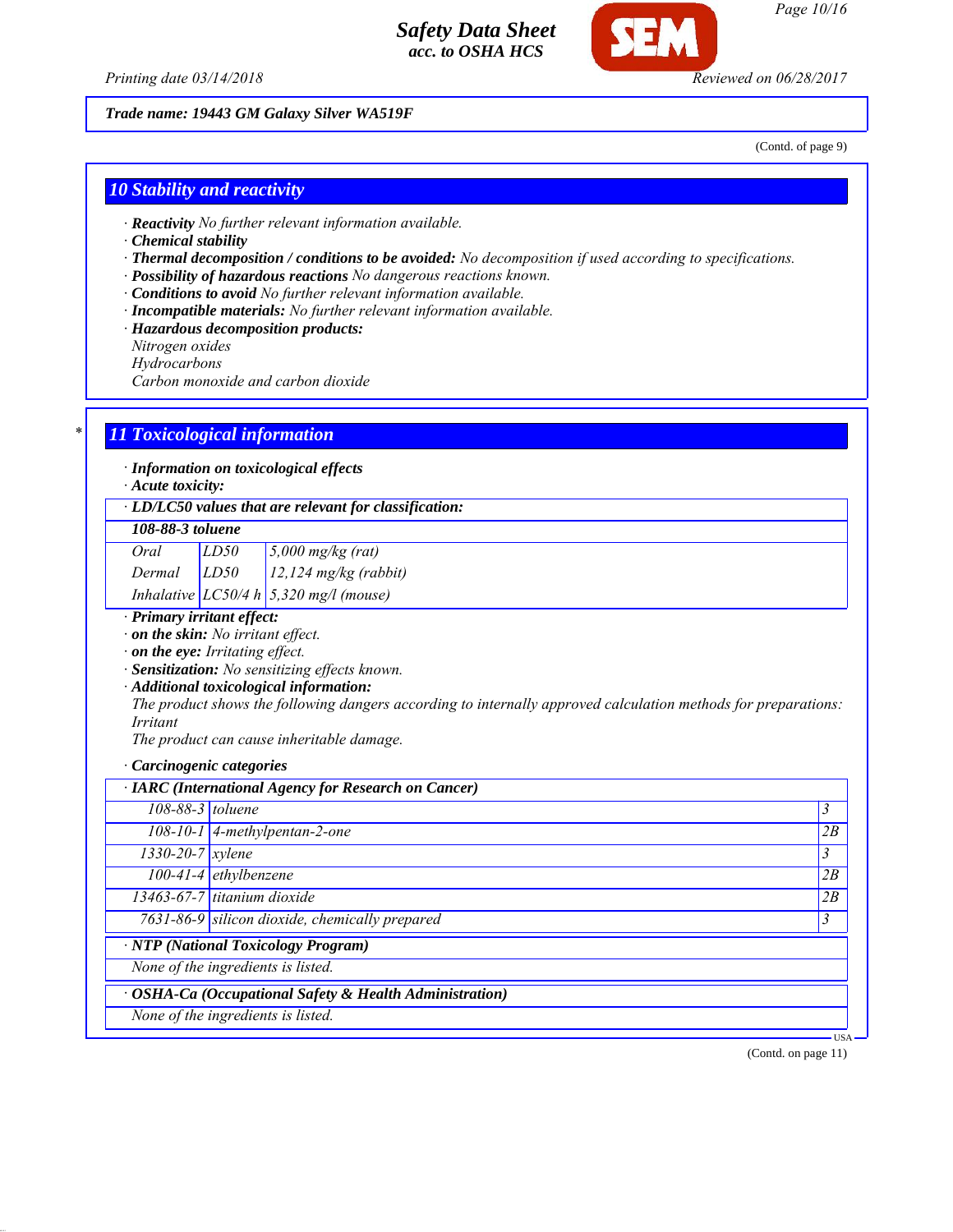

*Printing date 03/14/2018 Reviewed on 06/28/2017*

### *Trade name: 19443 GM Galaxy Silver WA519F*

(Contd. of page 9)

## *10 Stability and reactivity*

- *· Reactivity No further relevant information available.*
- *· Chemical stability*
- *· Thermal decomposition / conditions to be avoided: No decomposition if used according to specifications.*
- *· Possibility of hazardous reactions No dangerous reactions known.*
- *· Conditions to avoid No further relevant information available.*
- *· Incompatible materials: No further relevant information available.*
- *· Hazardous decomposition products:*
- *Nitrogen oxides*
- *Hydrocarbons*

*Carbon monoxide and carbon dioxide*

## *\* 11 Toxicological information*

*· Information on toxicological effects*

*· Acute toxicity:*

*· LD/LC50 values that are relevant for classification:*

#### *108-88-3 toluene*

| Oral            | LD50 | $5,000$ mg/kg (rat)                            |
|-----------------|------|------------------------------------------------|
| $Dermal$ $LD50$ |      | $12.124$ mg/kg (rabbit)                        |
|                 |      | Inhalative $LC50/4 h \cdot 5,320$ mg/l (mouse) |

*· Primary irritant effect:*

*· on the skin: No irritant effect.*

*· on the eye: Irritating effect.*

*· Sensitization: No sensitizing effects known.*

*· Additional toxicological information:*

*The product shows the following dangers according to internally approved calculation methods for preparations: Irritant*

*The product can cause inheritable damage.*

#### *· Carcinogenic categories*

| · IARC (International Agency for Research on Cancer) |                                                         |                |
|------------------------------------------------------|---------------------------------------------------------|----------------|
| 108-88-3 toluene                                     |                                                         | 3              |
|                                                      | $\overline{108-10-1}$ 4-methylpentan-2-one              | 2B             |
| $1330 - 20 - 7$ <i>xylene</i>                        |                                                         | $\mathfrak{Z}$ |
|                                                      | 100-41-4 ethylbenzene                                   | 2B             |
|                                                      | $13463-67-7$ titanium dioxide                           | 2B             |
|                                                      | 7631-86-9 silicon dioxide, chemically prepared          | 3              |
|                                                      | $\overline{\cdot$ NTP (National Toxicology Program)     |                |
|                                                      | None of the ingredients is listed.                      |                |
|                                                      | · OSHA-Ca (Occupational Safety & Health Administration) |                |
|                                                      | None of the ingredients is listed.                      |                |

(Contd. on page 11)

USA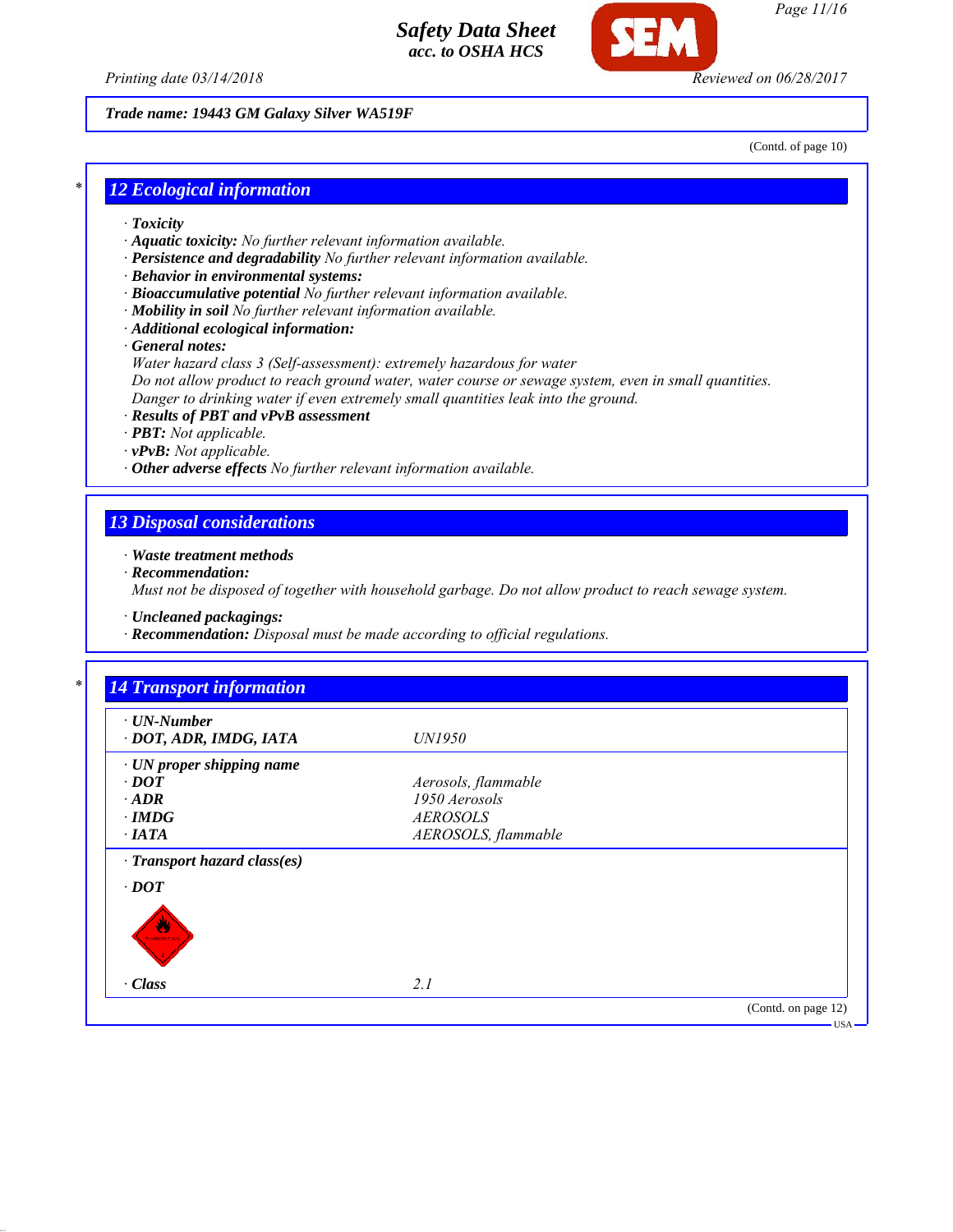



#### *Trade name: 19443 GM Galaxy Silver WA519F*

(Contd. of page 10)

## *\* 12 Ecological information*

- *· Toxicity*
- *· Aquatic toxicity: No further relevant information available.*
- *· Persistence and degradability No further relevant information available.*
- *· Behavior in environmental systems:*
- *· Bioaccumulative potential No further relevant information available.*
- *· Mobility in soil No further relevant information available.*
- *· Additional ecological information:*
- *· General notes:*
- *Water hazard class 3 (Self-assessment): extremely hazardous for water Do not allow product to reach ground water, water course or sewage system, even in small quantities.*
- *Danger to drinking water if even extremely small quantities leak into the ground.*
- *· Results of PBT and vPvB assessment*
- *· PBT: Not applicable.*
- *· vPvB: Not applicable.*
- *· Other adverse effects No further relevant information available.*

#### *13 Disposal considerations*

- *· Waste treatment methods*
- *· Recommendation:*

*Must not be disposed of together with household garbage. Do not allow product to reach sewage system.*

*· Uncleaned packagings:*

*· Recommendation: Disposal must be made according to official regulations.*

| $\cdot$ UN-Number            |                     |  |
|------------------------------|---------------------|--|
| · DOT, ADR, IMDG, IATA       | <i>UN1950</i>       |  |
| · UN proper shipping name    |                     |  |
| $\cdot$ DOT                  | Aerosols, flammable |  |
| $\cdot$ ADR                  | 1950 Aerosols       |  |
| $\cdot$ IMDG                 | <b>AEROSOLS</b>     |  |
| $\cdot$ IATA                 | AEROSOLS, flammable |  |
| · Transport hazard class(es) |                     |  |
| $\cdot$ DOT                  |                     |  |
|                              |                     |  |
|                              |                     |  |
| ŵ<br><b>NAMES OF SCIENCE</b> |                     |  |
|                              |                     |  |
| · Class                      | 2.1                 |  |
|                              |                     |  |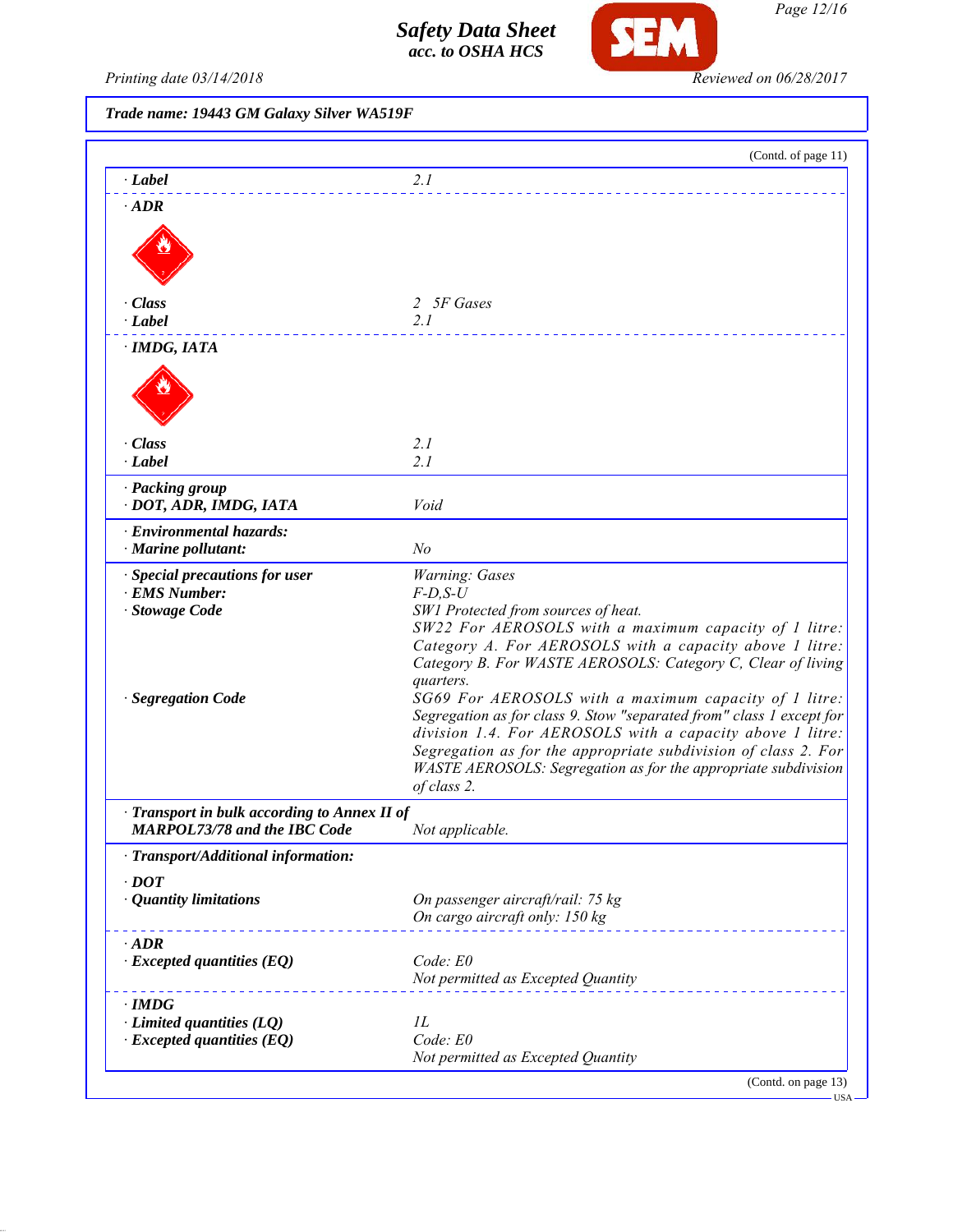

*Page 12/16*

Printing date 03/14/2018 **Reviewed on 06/28/2017** 

*Trade name: 19443 GM Galaxy Silver WA519F*

|                                                                                     | (Contd. of page 11)                                                                                                                                                                                                                                                                                                                                                                                                       |
|-------------------------------------------------------------------------------------|---------------------------------------------------------------------------------------------------------------------------------------------------------------------------------------------------------------------------------------------------------------------------------------------------------------------------------------------------------------------------------------------------------------------------|
| · Label                                                                             | 2.1                                                                                                                                                                                                                                                                                                                                                                                                                       |
| $\cdot$ ADR                                                                         |                                                                                                                                                                                                                                                                                                                                                                                                                           |
| · Class                                                                             | 2 5F Gases                                                                                                                                                                                                                                                                                                                                                                                                                |
| · Label                                                                             | 2.1                                                                                                                                                                                                                                                                                                                                                                                                                       |
| · IMDG, IATA                                                                        |                                                                                                                                                                                                                                                                                                                                                                                                                           |
|                                                                                     |                                                                                                                                                                                                                                                                                                                                                                                                                           |
| · Class<br>$\cdot$ <i>Label</i>                                                     | 2.1<br>2.1                                                                                                                                                                                                                                                                                                                                                                                                                |
| · Packing group<br>· DOT, ADR, IMDG, IATA                                           | Void                                                                                                                                                                                                                                                                                                                                                                                                                      |
| · Environmental hazards:<br>· Marine pollutant:                                     | N <sub>o</sub>                                                                                                                                                                                                                                                                                                                                                                                                            |
| · Special precautions for user<br><b>EMS Number:</b><br>Stowage Code                | Warning: Gases<br>$F$ -D,S-U<br>SW1 Protected from sources of heat.<br>SW22 For AEROSOLS with a maximum capacity of 1 litre:<br>Category A. For AEROSOLS with a capacity above 1 litre:                                                                                                                                                                                                                                   |
| · Segregation Code                                                                  | Category B. For WASTE AEROSOLS: Category C, Clear of living<br>quarters.<br>SG69 For AEROSOLS with a maximum capacity of 1 litre:<br>Segregation as for class 9. Stow "separated from" class 1 except for<br>division 1.4. For AEROSOLS with a capacity above 1 litre:<br>Segregation as for the appropriate subdivision of class 2. For<br>WASTE AEROSOLS: Segregation as for the appropriate subdivision<br>of class 2. |
| · Transport in bulk according to Annex II of<br><b>MARPOL73/78 and the IBC Code</b> | Not applicable.                                                                                                                                                                                                                                                                                                                                                                                                           |
| · Transport/Additional information:                                                 |                                                                                                                                                                                                                                                                                                                                                                                                                           |
| $\cdot$ DOT<br>· Quantity limitations                                               | On passenger aircraft/rail: 75 kg<br>On cargo aircraft only: 150 kg                                                                                                                                                                                                                                                                                                                                                       |
| $\cdot$ ADR                                                                         |                                                                                                                                                                                                                                                                                                                                                                                                                           |
| $\cdot$ Excepted quantities (EQ)                                                    | Code: E0<br>Not permitted as Excepted Quantity                                                                                                                                                                                                                                                                                                                                                                            |
| $\cdot$ IMDG                                                                        |                                                                                                                                                                                                                                                                                                                                                                                                                           |
| $\cdot$ Limited quantities (LQ)                                                     | IL                                                                                                                                                                                                                                                                                                                                                                                                                        |
| $\cdot$ Excepted quantities (EQ)                                                    | Code: E0<br>Not permitted as Excepted Quantity                                                                                                                                                                                                                                                                                                                                                                            |
|                                                                                     |                                                                                                                                                                                                                                                                                                                                                                                                                           |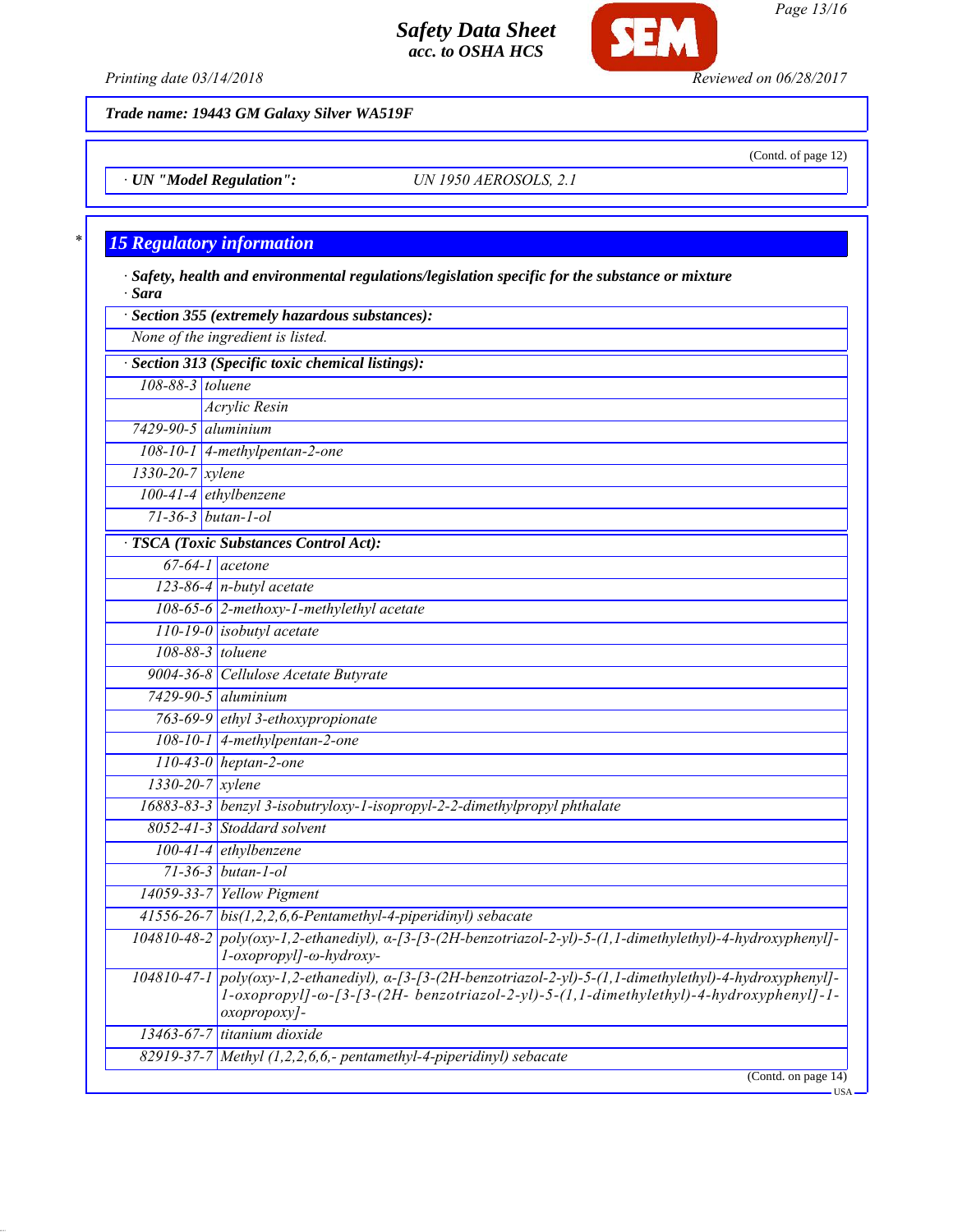

*Printing date 03/14/2018 Reviewed on 06/28/2017*

(Contd. of page 12)

*Page 13/16*

*Trade name: 19443 GM Galaxy Silver WA519F*

*· UN "Model Regulation": UN 1950 AEROSOLS, 2.1*

## *\* 15 Regulatory information*

*· Safety, health and environmental regulations/legislation specific for the substance or mixture · Sara · Section 355 (extremely hazardous substances): None of the ingredient is listed. · Section 313 (Specific toxic chemical listings): 108-88-3 toluene Acrylic Resin 7429-90-5 aluminium 108-10-1 4-methylpentan-2-one*

*1330-20-7 xylene 100-41-4 ethylbenzene*

*71-36-3 butan-1-ol · TSCA (Toxic Substances Control Act):*

*67-64-1 acetone 123-86-4 n-butyl acetate*

*108-65-6 2-methoxy-1-methylethyl acetate 110-19-0 isobutyl acetate 108-88-3 toluene 9004-36-8 Cellulose Acetate Butyrate*

*7429-90-5 aluminium 763-69-9 ethyl 3-ethoxypropionate 108-10-1 4-methylpentan-2-one*

*110-43-0 heptan-2-one 1330-20-7 xylene 16883-83-3 benzyl 3-isobutryloxy-1-isopropyl-2-2-dimethylpropyl phthalate*

*8052-41-3 Stoddard solvent 100-41-4 ethylbenzene 71-36-3 butan-1-ol*

*14059-33-7 Yellow Pigment 41556-26-7 bis(1,2,2,6,6-Pentamethyl-4-piperidinyl) sebacate 104810-48-2 poly(oxy-1,2-ethanediyl), α-[3-[3-(2H-benzotriazol-2-yl)-5-(1,1-dimethylethyl)-4-hydroxyphenyl]- 1-oxopropyl]-ω-hydroxy-104810-47-1 poly(oxy-1,2-ethanediyl), α-[3-[3-(2H-benzotriazol-2-yl)-5-(1,1-dimethylethyl)-4-hydroxyphenyl]-*

*1-oxopropyl]-ω-[3-[3-(2H- benzotriazol-2-yl)-5-(1,1-dimethylethyl)-4-hydroxyphenyl]-1 oxopropoxy]-*

*13463-67-7 titanium dioxide 82919-37-7 Methyl (1,2,2,6,6,- pentamethyl-4-piperidinyl) sebacate*

(Contd. on page 14)

USA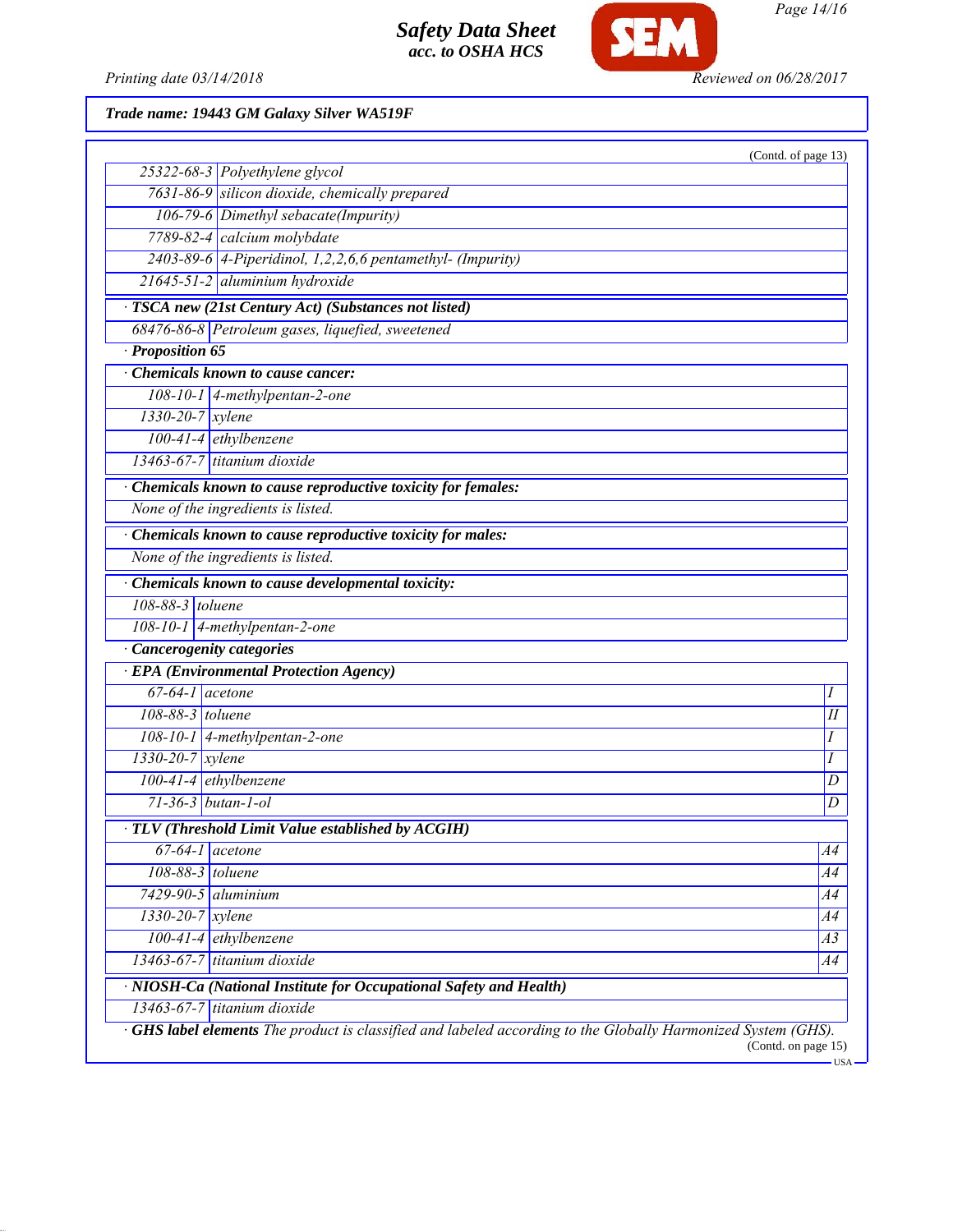

*Page 14/16*

Printing date 03/14/2018 **Reviewed on 06/28/2017** 

*Trade name: 19443 GM Galaxy Silver WA519F*

|                               |                                                                                                             | (Contd. of page 13) |
|-------------------------------|-------------------------------------------------------------------------------------------------------------|---------------------|
|                               | 25322-68-3 Polyethylene glycol                                                                              |                     |
|                               | 7631-86-9 silicon dioxide, chemically prepared                                                              |                     |
|                               | 106-79-6 Dimethyl sebacate(Impurity)                                                                        |                     |
|                               | 7789-82-4 calcium molybdate                                                                                 |                     |
|                               | 2403-89-6 4-Piperidinol, 1,2,2,6,6 pentamethyl- (Impurity)                                                  |                     |
|                               | 21645-51-2 aluminium hydroxide                                                                              |                     |
|                               | · TSCA new (21st Century Act) (Substances not listed)                                                       |                     |
|                               | 68476-86-8 Petroleum gases, liquefied, sweetened                                                            |                     |
| · Proposition 65              |                                                                                                             |                     |
|                               | Chemicals known to cause cancer:                                                                            |                     |
|                               | $108-10-1$ 4-methylpentan-2-one                                                                             |                     |
| $1330 - 20 - 7$ xylene        |                                                                                                             |                     |
|                               | 100-41-4 ethylbenzene                                                                                       |                     |
|                               | 13463-67-7 titanium dioxide                                                                                 |                     |
|                               | Chemicals known to cause reproductive toxicity for females:                                                 |                     |
|                               | None of the ingredients is listed.                                                                          |                     |
|                               | Chemicals known to cause reproductive toxicity for males:                                                   |                     |
|                               | None of the ingredients is listed.                                                                          |                     |
|                               | Chemicals known to cause developmental toxicity:                                                            |                     |
| 108-88-3 toluene              |                                                                                                             |                     |
|                               | 108-10-1 4-methylpentan-2-one                                                                               |                     |
|                               | · Cancerogenity categories                                                                                  |                     |
|                               | · EPA (Environmental Protection Agency)                                                                     |                     |
| $67-64-1$ acetone             |                                                                                                             | Ι                   |
| $108-88-3$ toluene            |                                                                                                             | Н                   |
|                               | $108-10-1$ 4-methylpentan-2-one                                                                             | Ι                   |
| $1330 - 20 - 7$ xylene        |                                                                                                             | Ι                   |
|                               | 100-41-4 ethylbenzene                                                                                       | D                   |
|                               | $71 - 36 - 3$ butan-1-ol                                                                                    | D                   |
|                               | · TLV (Threshold Limit Value established by ACGIH)                                                          |                     |
|                               | $67-64-1$ acetone                                                                                           | A4                  |
| 108-88-3 toluene              |                                                                                                             | A4                  |
|                               | $7429-90-5$ aluminium                                                                                       | A4                  |
| $1330 - 20 - 7$ <i>xylene</i> |                                                                                                             | A4                  |
|                               | $100-41-4$ ethylbenzene                                                                                     | A3                  |
|                               | $13463 - 67 - 7$ titanium dioxide                                                                           | A4                  |
|                               | · NIOSH-Ca (National Institute for Occupational Safety and Health)                                          |                     |
|                               | $13463-67-7$ titanium dioxide                                                                               |                     |
|                               | GHS label elements The product is classified and labeled according to the Globally Harmonized System (GHS). |                     |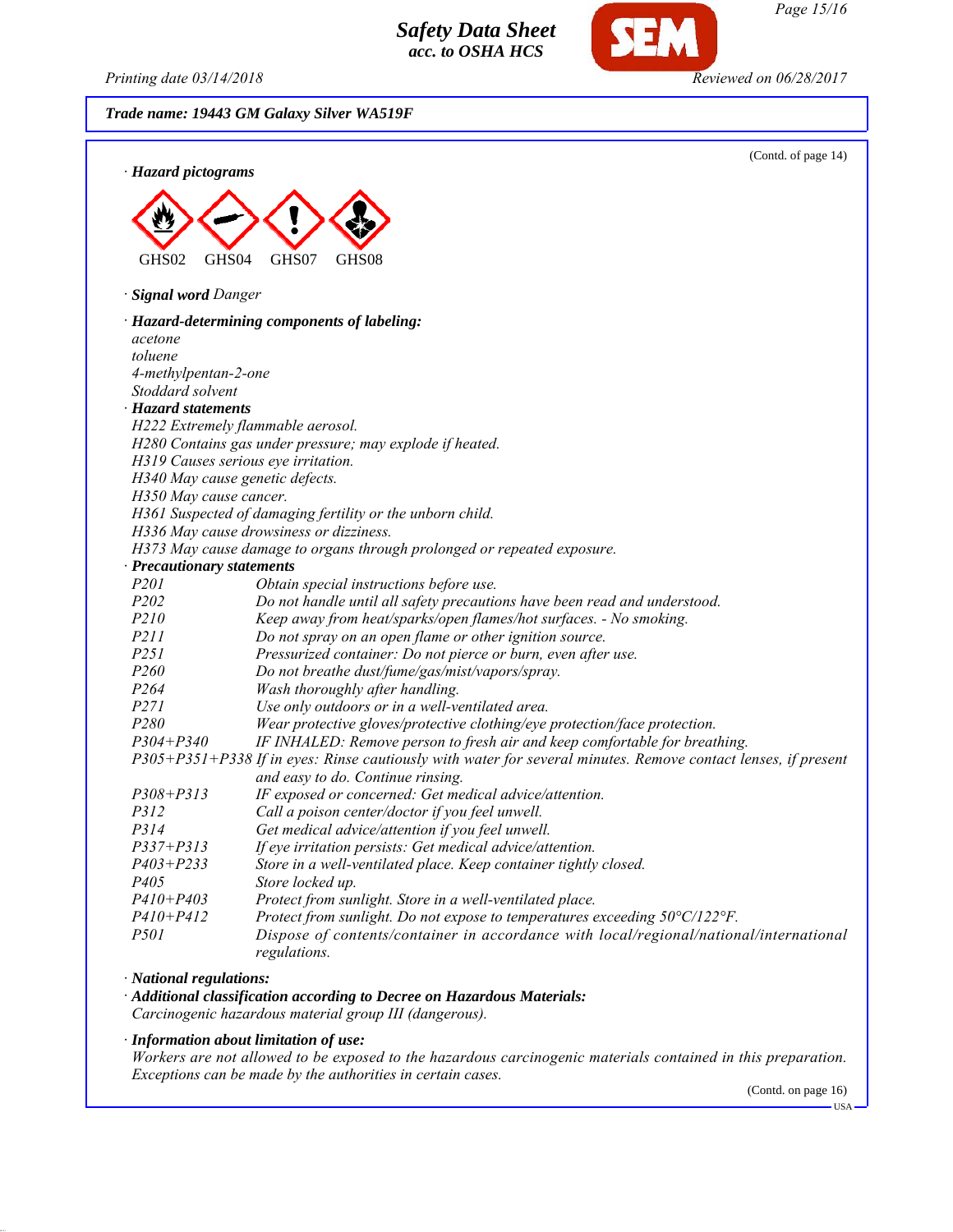*Printing date 03/14/2018 Reviewed on 06/28/2017*

*Trade name: 19443 GM Galaxy Silver WA519F* (Contd. of page 14) *· Hazard pictograms* GHS02 GHS04 GHS07 GHS08 *· Signal word Danger · Hazard-determining components of labeling: acetone toluene 4-methylpentan-2-one Stoddard solvent · Hazard statements H222 Extremely flammable aerosol. H280 Contains gas under pressure; may explode if heated. H319 Causes serious eye irritation. H340 May cause genetic defects. H350 May cause cancer. H361 Suspected of damaging fertility or the unborn child. H336 May cause drowsiness or dizziness. H373 May cause damage to organs through prolonged or repeated exposure. · Precautionary statements P201 Obtain special instructions before use. P202 Do not handle until all safety precautions have been read and understood. P210 Keep away from heat/sparks/open flames/hot surfaces. - No smoking. P211 Do not spray on an open flame or other ignition source. P251 Pressurized container: Do not pierce or burn, even after use. P260 Do not breathe dust/fume/gas/mist/vapors/spray. P264 Wash thoroughly after handling. P271 Use only outdoors or in a well-ventilated area. P280 Wear protective gloves/protective clothing/eye protection/face protection. P304+P340 IF INHALED: Remove person to fresh air and keep comfortable for breathing. P305+P351+P338 If in eyes: Rinse cautiously with water for several minutes. Remove contact lenses, if present and easy to do. Continue rinsing. P308+P313 IF exposed or concerned: Get medical advice/attention. P312 Call a poison center/doctor if you feel unwell. P314 Get medical advice/attention if you feel unwell. P337+P313 If eye irritation persists: Get medical advice/attention. Store in a well-ventilated place. Keep container tightly closed. P405 Store locked up. P410+P403 Protect from sunlight. Store in a well-ventilated place. P410+P412 Protect from sunlight. Do not expose to temperatures exceeding 50°C/122°F. P501 Dispose of contents/container in accordance with local/regional/national/international regulations. · National regulations: · Additional classification according to Decree on Hazardous Materials: Carcinogenic hazardous material group III (dangerous).*

*· Information about limitation of use:*

*Workers are not allowed to be exposed to the hazardous carcinogenic materials contained in this preparation. Exceptions can be made by the authorities in certain cases.*

(Contd. on page 16)

USA